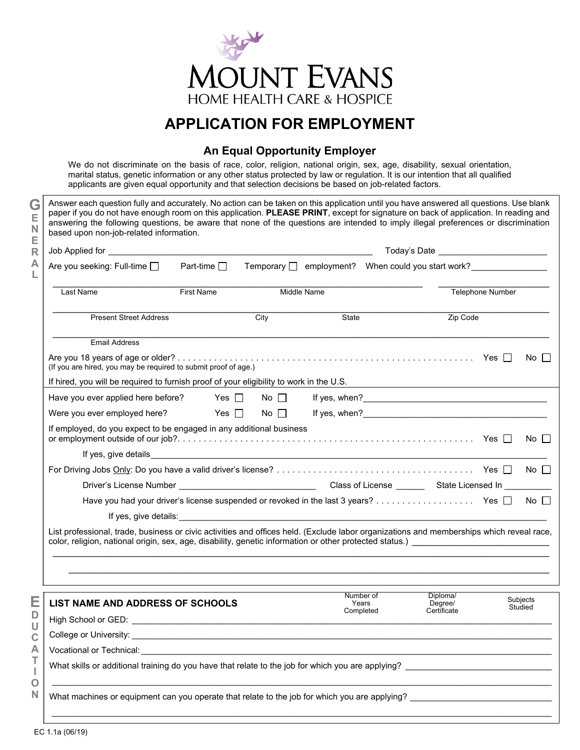

## **APPLICATION FOR EMPLOYMENT**

## **An Equal Opportunity Employer**

We do not discriminate on the basis of race, color, religion, national origin, sex, age, disability, sexual orientation, marital status, genetic information or any other status protected by law or regulation. It is our intention that all qualified applicants are given equal opportunity and that selection decisions be based on job-related factors.

Answer each question fully and accurately. No action can be taken on this application until you have answered all questions. Use blank paper if you do not have enough room on this application. **PLEASE PRINT**, except for signature on back of application. In reading and answering the following questions, be aware that none of the questions are intended to imply illegal preferences or discrimination based upon non-job-related information. Job Applied for **Applied for** the set of the set of the set of the set of the set of the set of the set of the set of the set of the set of the set of the set of the set of the set of the set of the set of the set of the s Are you seeking: Full-time  $\square$  Part-time  $\square$  Temporary  $\square$  employment? When could you start work?  $\mathcal{L}_\mathcal{L} = \mathcal{L}_\mathcal{L} = \mathcal{L}_\mathcal{L} = \mathcal{L}_\mathcal{L} = \mathcal{L}_\mathcal{L} = \mathcal{L}_\mathcal{L} = \mathcal{L}_\mathcal{L} = \mathcal{L}_\mathcal{L} = \mathcal{L}_\mathcal{L} = \mathcal{L}_\mathcal{L} = \mathcal{L}_\mathcal{L} = \mathcal{L}_\mathcal{L} = \mathcal{L}_\mathcal{L} = \mathcal{L}_\mathcal{L} = \mathcal{L}_\mathcal{L} = \mathcal{L}_\mathcal{L} = \mathcal{L}_\mathcal{L}$ Last Name First Name First Name Middle Name Middle Name Telephone Number ent and the Present Street Address and City City and State City State Zip Code 2. The Code of the State City State Zip Code 2. The Code of the State City State Zip Code 2. The Code of the State City State 2. The Code of th \_\_\_\_\_\_\_\_\_\_\_\_\_\_\_\_\_\_\_\_\_\_\_\_\_\_\_\_\_\_\_\_\_\_\_\_\_\_\_\_\_\_\_\_\_\_\_\_\_\_\_\_\_\_\_\_\_\_\_\_\_\_\_\_\_\_\_\_\_\_\_\_\_\_\_\_\_\_\_\_\_\_\_\_\_\_\_\_\_\_\_\_\_\_ Email Address Are you 18 years of age or older? . . . . . . . . . . . . . . . . . . . . . . . . . . . . . . . . . . . . . . . . . . . . . . . . . . . . . . . . . Yes No (If you are hired, you may be required to submit proof of age.) If hired, you will be required to furnish proof of your eligibility to work in the U.S. Have you ever applied here before? Yes No If yes, when? \_\_\_\_\_\_\_\_\_\_\_\_\_\_\_\_\_\_\_\_\_\_\_\_\_\_\_\_\_\_\_\_\_\_\_\_\_\_\_ Were you ever employed here?  $Yes \Box \qquad No \Box$  If yes, when? If employed, do you expect to be engaged in any additional business or employment outside of our job? . . . . . . . . . . . . . . . . . . . . . . . . . . . . . . . . . . . . . . . . . . . . . . . . . . . . . . . . . Yes No If yes, give details For Driving Jobs Only: Do you have a valid driver's license? . . . . . . . . . . . . . . . . . . . . . . . . . . . . . . . . . . . . . . Yes No Driver's License Number \_\_\_\_\_\_\_\_\_\_\_\_\_\_\_\_\_\_\_\_\_\_\_\_\_\_\_\_\_ Class of License \_\_\_\_\_\_ State Licensed In \_\_\_\_\_\_\_\_\_\_ Have you had your driver's license suspended or revoked in the last 3 years? . . . . . . . . . . . . . . . . . . Yes  $\Box$  No  $\Box$ If yes, give details: List professional, trade, business or civic activities and offices held. (Exclude labor organizations and memberships which reveal race, color, religion, national origin, sex, age, disability, genetic information or other protected status.)

| œ<br>►  | LIST NAME AND ADDRESS OF SCHOOLS                                                                  | Number of<br>Years<br>Completed | Diploma/<br>Degree/<br>Certificate | Subjects<br>Studied |  |
|---------|---------------------------------------------------------------------------------------------------|---------------------------------|------------------------------------|---------------------|--|
| D<br>U  | High School or GED:                                                                               |                                 |                                    |                     |  |
| C       | College or University: ________________                                                           |                                 |                                    |                     |  |
| Α       | Vocational or Technical:                                                                          |                                 |                                    |                     |  |
| ÷       | What skills or additional training do you have that relate to the job for which you are applying? |                                 |                                    |                     |  |
| $\circ$ |                                                                                                   |                                 |                                    |                     |  |
| N       | What machines or equipment can you operate that relate to the job for which you are applying?     |                                 |                                    |                     |  |
|         |                                                                                                   |                                 |                                    |                     |  |

**G E N E R A L**